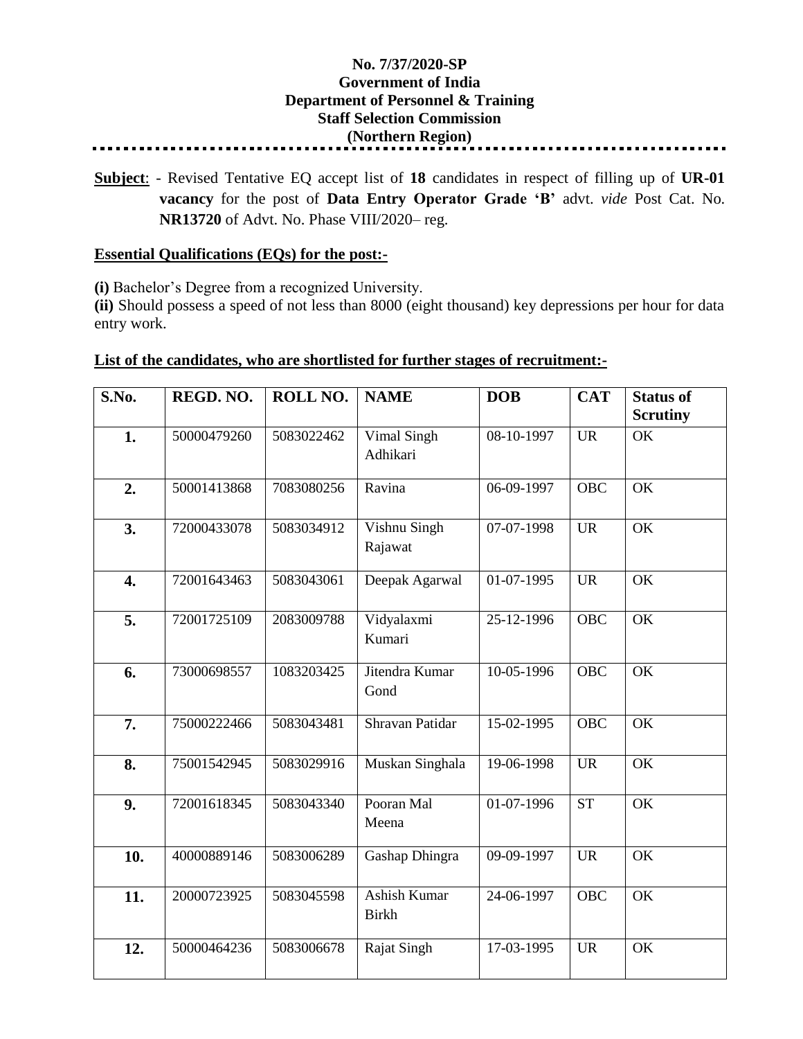## **No. 7/37/2020-SP Government of India Department of Personnel & Training Staff Selection Commission (Northern Region)**

**Subject**: - Revised Tentative EQ accept list of **18** candidates in respect of filling up of **UR-01 vacancy** for the post of **Data Entry Operator Grade 'B'** advt. *vide* Post Cat. No. **NR13720** of Advt. No. Phase VIII/2020– reg.

## **Essential Qualifications (EQs) for the post:-**

**(i)** Bachelor's Degree from a recognized University.

**(ii)** Should possess a speed of not less than 8000 (eight thousand) key depressions per hour for data entry work.

## **List of the candidates, who are shortlisted for further stages of recruitment:-**

| S.No.            | REGD. NO.   | ROLL NO.   | <b>NAME</b>                         | <b>DOB</b>                | <b>CAT</b> | <b>Status of</b><br><b>Scrutiny</b> |
|------------------|-------------|------------|-------------------------------------|---------------------------|------------|-------------------------------------|
| 1.               | 50000479260 | 5083022462 | Vimal Singh<br>Adhikari             | 08-10-1997                | <b>UR</b>  | OK                                  |
| 2.               | 50001413868 | 7083080256 | Ravina                              | $\overline{06-09} - 1997$ | <b>OBC</b> | OK                                  |
| 3.               | 72000433078 | 5083034912 | Vishnu Singh<br>Rajawat             | 07-07-1998                | <b>UR</b>  | OK                                  |
| $\overline{4}$ . | 72001643463 | 5083043061 | Deepak Agarwal                      | 01-07-1995                | <b>UR</b>  | OK                                  |
| 5.               | 72001725109 | 2083009788 | Vidyalaxmi<br>Kumari                | 25-12-1996                | <b>OBC</b> | OK                                  |
| 6.               | 73000698557 | 1083203425 | Jitendra Kumar<br>Gond              | 10-05-1996                | <b>OBC</b> | OK                                  |
| 7.               | 75000222466 | 5083043481 | Shravan Patidar                     | 15-02-1995                | <b>OBC</b> | OK                                  |
| 8.               | 75001542945 | 5083029916 | Muskan Singhala                     | $\overline{19}$ -06-1998  | <b>UR</b>  | OK                                  |
| 9.               | 72001618345 | 5083043340 | Pooran Mal<br>Meena                 | 01-07-1996                | <b>ST</b>  | OK                                  |
| 10.              | 40000889146 | 5083006289 | Gashap Dhingra                      | 09-09-1997                | <b>UR</b>  | OK                                  |
| 11.              | 20000723925 | 5083045598 | <b>Ashish Kumar</b><br><b>Birkh</b> | 24-06-1997                | <b>OBC</b> | OK                                  |
| 12.              | 50000464236 | 5083006678 | Rajat Singh                         | 17-03-1995                | <b>UR</b>  | OK                                  |